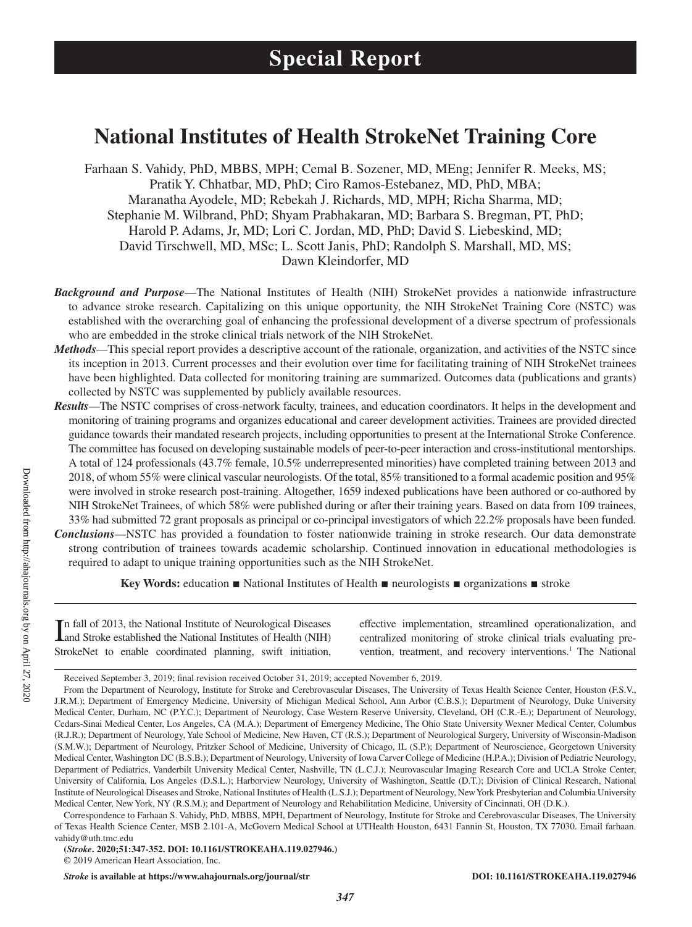# **National Institutes of Health StrokeNet Training Core**

Farhaan S. Vahidy, PhD, MBBS, MPH; Cemal B. Sozener, MD, MEng; Jennifer R. Meeks, MS; Pratik Y. Chhatbar, MD, PhD; Ciro Ramos-Estebanez, MD, PhD, MBA; Maranatha Ayodele, MD; Rebekah J. Richards, MD, MPH; Richa Sharma, MD; Stephanie M. Wilbrand, PhD; Shyam Prabhakaran, MD; Barbara S. Bregman, PT, PhD; Harold P. Adams, Jr, MD; Lori C. Jordan, MD, PhD; David S. Liebeskind, MD; David Tirschwell, MD, MSc; L. Scott Janis, PhD; Randolph S. Marshall, MD, MS; Dawn Kleindorfer, MD

- *Background and Purpose*—The National Institutes of Health (NIH) StrokeNet provides a nationwide infrastructure to advance stroke research. Capitalizing on this unique opportunity, the NIH StrokeNet Training Core (NSTC) was established with the overarching goal of enhancing the professional development of a diverse spectrum of professionals who are embedded in the stroke clinical trials network of the NIH StrokeNet.
- *Methods*—This special report provides a descriptive account of the rationale, organization, and activities of the NSTC since its inception in 2013. Current processes and their evolution over time for facilitating training of NIH StrokeNet trainees have been highlighted. Data collected for monitoring training are summarized. Outcomes data (publications and grants) collected by NSTC was supplemented by publicly available resources.
- *Results*—The NSTC comprises of cross-network faculty, trainees, and education coordinators. It helps in the development and monitoring of training programs and organizes educational and career development activities. Trainees are provided directed guidance towards their mandated research projects, including opportunities to present at the International Stroke Conference. The committee has focused on developing sustainable models of peer-to-peer interaction and cross-institutional mentorships. A total of 124 professionals (43.7% female, 10.5% underrepresented minorities) have completed training between 2013 and 2018, of whom 55% were clinical vascular neurologists. Of the total, 85% transitioned to a formal academic position and 95% were involved in stroke research post-training. Altogether, 1659 indexed publications have been authored or co-authored by NIH StrokeNet Trainees, of which 58% were published during or after their training years. Based on data from 109 trainees, 33% had submitted 72 grant proposals as principal or co-principal investigators of which 22.2% proposals have been funded.
- *Conclusions*—NSTC has provided a foundation to foster nationwide training in stroke research. Our data demonstrate strong contribution of trainees towards academic scholarship. Continued innovation in educational methodologies is required to adapt to unique training opportunities such as the NIH StrokeNet.

**Key Words:** education ■ National Institutes of Health ■ neurologists ■ organizations ■ stroke

In fall of 2013, the National Institute of Neurological Diseases<br>
and Stroke established the National Institutes of Health (NIH) and Stroke established the National Institutes of Health (NIH) StrokeNet to enable coordinated planning, swift initiation,

effective implementation, streamlined operationalization, and centralized monitoring of stroke clinical trials evaluating prevention, treatment, and recovery interventions.<sup>1</sup> The National

**(***Stroke***. 2020;51:347-352. DOI: 10.1161/STROKEAHA.119.027946.)**

*Stroke* **is available at https://www.ahajournals.org/journal/str DOI: 10.1161/STROKEAHA.119.027946**

Received September 3, 2019; final revision received October 31, 2019; accepted November 6, 2019.

From the Department of Neurology, Institute for Stroke and Cerebrovascular Diseases, The University of Texas Health Science Center, Houston (F.S.V., J.R.M.); Department of Emergency Medicine, University of Michigan Medical School, Ann Arbor (C.B.S.); Department of Neurology, Duke University Medical Center, Durham, NC (P.Y.C.); Department of Neurology, Case Western Reserve University, Cleveland, OH (C.R.-E.); Department of Neurology, Cedars-Sinai Medical Center, Los Angeles, CA (M.A.); Department of Emergency Medicine, The Ohio State University Wexner Medical Center, Columbus (R.J.R.); Department of Neurology, Yale School of Medicine, New Haven, CT (R.S.); Department of Neurological Surgery, University of Wisconsin-Madison (S.M.W.); Department of Neurology, Pritzker School of Medicine, University of Chicago, IL (S.P.); Department of Neuroscience, Georgetown University Medical Center, Washington DC (B.S.B.); Department of Neurology, University of Iowa Carver College of Medicine (H.P.A.); Division of Pediatric Neurology, Department of Pediatrics, Vanderbilt University Medical Center, Nashville, TN (L.C.J.); Neurovascular Imaging Research Core and UCLA Stroke Center, University of California, Los Angeles (D.S.L.); Harborview Neurology, University of Washington, Seattle (D.T.); Division of Clinical Research, National Institute of Neurological Diseases and Stroke, National Institutes of Health (L.S.J.); Department of Neurology, New York Presbyterian and Columbia University Medical Center, New York, NY (R.S.M.); and Department of Neurology and Rehabilitation Medicine, University of Cincinnati, OH (D.K.).

Correspondence to Farhaan S. Vahidy, PhD, MBBS, MPH, Department of Neurology, Institute for Stroke and Cerebrovascular Diseases, The University of Texas Health Science Center, MSB 2.101-A, McGovern Medical School at UTHealth Houston, 6431 Fannin St, Houston, TX 77030. Email [farhaan.](mailto:farhaan.vahidy@uth.tmc.edu) [vahidy@uth.tmc.edu](mailto:farhaan.vahidy@uth.tmc.edu)

<sup>© 2019</sup> American Heart Association, Inc.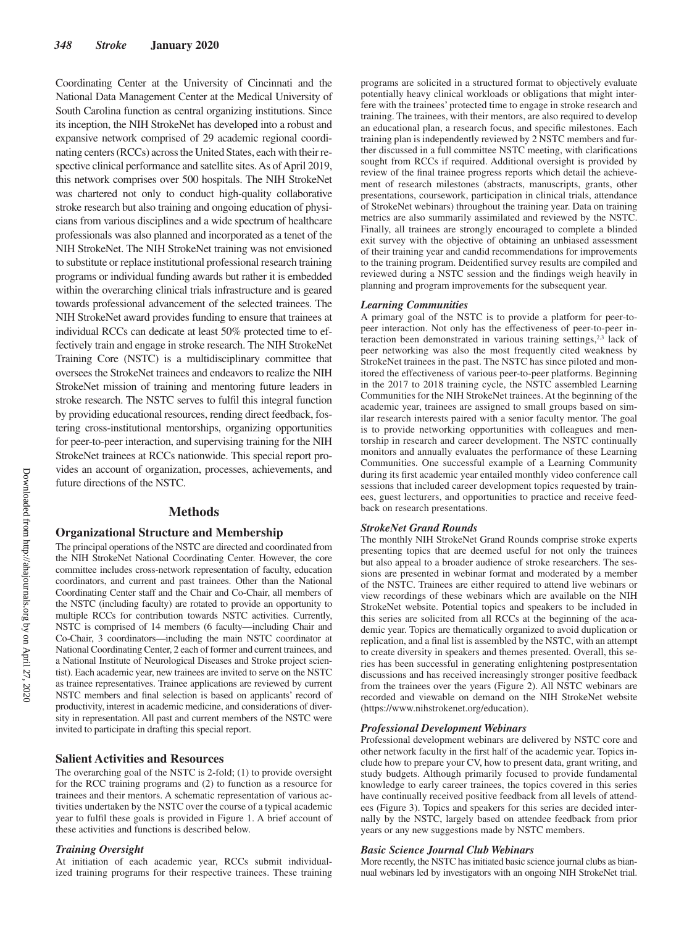Coordinating Center at the University of Cincinnati and the National Data Management Center at the Medical University of South Carolina function as central organizing institutions. Since its inception, the NIH StrokeNet has developed into a robust and expansive network comprised of 29 academic regional coordinating centers (RCCs) across the United States, each with their respective clinical performance and satellite sites. As of April 2019, this network comprises over 500 hospitals. The NIH StrokeNet was chartered not only to conduct high-quality collaborative stroke research but also training and ongoing education of physicians from various disciplines and a wide spectrum of healthcare professionals was also planned and incorporated as a tenet of the NIH StrokeNet. The NIH StrokeNet training was not envisioned to substitute or replace institutional professional research training programs or individual funding awards but rather it is embedded within the overarching clinical trials infrastructure and is geared towards professional advancement of the selected trainees. The NIH StrokeNet award provides funding to ensure that trainees at individual RCCs can dedicate at least 50% protected time to effectively train and engage in stroke research. The NIH StrokeNet Training Core (NSTC) is a multidisciplinary committee that oversees the StrokeNet trainees and endeavors to realize the NIH StrokeNet mission of training and mentoring future leaders in stroke research. The NSTC serves to fulfil this integral function by providing educational resources, rending direct feedback, fostering cross-institutional mentorships, organizing opportunities for peer-to-peer interaction, and supervising training for the NIH StrokeNet trainees at RCCs nationwide. This special report provides an account of organization, processes, achievements, and future directions of the NSTC.

## **Methods**

## **Organizational Structure and Membership**

The principal operations of the NSTC are directed and coordinated from the NIH StrokeNet National Coordinating Center. However, the core committee includes cross-network representation of faculty, education coordinators, and current and past trainees. Other than the National Coordinating Center staff and the Chair and Co-Chair, all members of the NSTC (including faculty) are rotated to provide an opportunity to multiple RCCs for contribution towards NSTC activities. Currently, NSTC is comprised of 14 members (6 faculty—including Chair and Co-Chair, 3 coordinators—including the main NSTC coordinator at National Coordinating Center, 2 each of former and current trainees, and a National Institute of Neurological Diseases and Stroke project scientist). Each academic year, new trainees are invited to serve on the NSTC as trainee representatives. Trainee applications are reviewed by current NSTC members and final selection is based on applicants' record of productivity, interest in academic medicine, and considerations of diversity in representation. All past and current members of the NSTC were invited to participate in drafting this special report.

## **Salient Activities and Resources**

The overarching goal of the NSTC is 2-fold; (1) to provide oversight for the RCC training programs and (2) to function as a resource for trainees and their mentors. A schematic representation of various activities undertaken by the NSTC over the course of a typical academic year to fulfil these goals is provided in Figure 1. A brief account of these activities and functions is described below.

### *Training Oversight*

At initiation of each academic year, RCCs submit individualized training programs for their respective trainees. These training programs are solicited in a structured format to objectively evaluate potentially heavy clinical workloads or obligations that might interfere with the trainees' protected time to engage in stroke research and training. The trainees, with their mentors, are also required to develop an educational plan, a research focus, and specific milestones. Each training plan is independently reviewed by 2 NSTC members and further discussed in a full committee NSTC meeting, with clarifications sought from RCCs if required. Additional oversight is provided by review of the final trainee progress reports which detail the achievement of research milestones (abstracts, manuscripts, grants, other presentations, coursework, participation in clinical trials, attendance of StrokeNet webinars) throughout the training year. Data on training metrics are also summarily assimilated and reviewed by the NSTC. Finally, all trainees are strongly encouraged to complete a blinded exit survey with the objective of obtaining an unbiased assessment of their training year and candid recommendations for improvements to the training program. Deidentified survey results are compiled and reviewed during a NSTC session and the findings weigh heavily in planning and program improvements for the subsequent year.

#### *Learning Communities*

A primary goal of the NSTC is to provide a platform for peer-topeer interaction. Not only has the effectiveness of peer-to-peer interaction been demonstrated in various training settings, $2,3$  lack of peer networking was also the most frequently cited weakness by StrokeNet trainees in the past. The NSTC has since piloted and monitored the effectiveness of various peer-to-peer platforms. Beginning in the 2017 to 2018 training cycle, the NSTC assembled Learning Communities for the NIH StrokeNet trainees. At the beginning of the academic year, trainees are assigned to small groups based on similar research interests paired with a senior faculty mentor. The goal is to provide networking opportunities with colleagues and mentorship in research and career development. The NSTC continually monitors and annually evaluates the performance of these Learning Communities. One successful example of a Learning Community during its first academic year entailed monthly video conference call sessions that included career development topics requested by trainees, guest lecturers, and opportunities to practice and receive feedback on research presentations.

#### *StrokeNet Grand Rounds*

The monthly NIH StrokeNet Grand Rounds comprise stroke experts presenting topics that are deemed useful for not only the trainees but also appeal to a broader audience of stroke researchers. The sessions are presented in webinar format and moderated by a member of the NSTC. Trainees are either required to attend live webinars or view recordings of these webinars which are available on the NIH StrokeNet website. Potential topics and speakers to be included in this series are solicited from all RCCs at the beginning of the academic year. Topics are thematically organized to avoid duplication or replication, and a final list is assembled by the NSTC, with an attempt to create diversity in speakers and themes presented. Overall, this series has been successful in generating enlightening postpresentation discussions and has received increasingly stronger positive feedback from the trainees over the years (Figure 2). All NSTC webinars are recorded and viewable on demand on the NIH StrokeNet website (<https://www.nihstrokenet.org/education>).

#### *Professional Development Webinars*

Professional development webinars are delivered by NSTC core and other network faculty in the first half of the academic year. Topics include how to prepare your CV, how to present data, grant writing, and study budgets. Although primarily focused to provide fundamental knowledge to early career trainees, the topics covered in this series have continually received positive feedback from all levels of attendees (Figure 3). Topics and speakers for this series are decided internally by the NSTC, largely based on attendee feedback from prior years or any new suggestions made by NSTC members.

### *Basic Science Journal Club Webinars*

More recently, the NSTC has initiated basic science journal clubs as biannual webinars led by investigators with an ongoing NIH StrokeNet trial.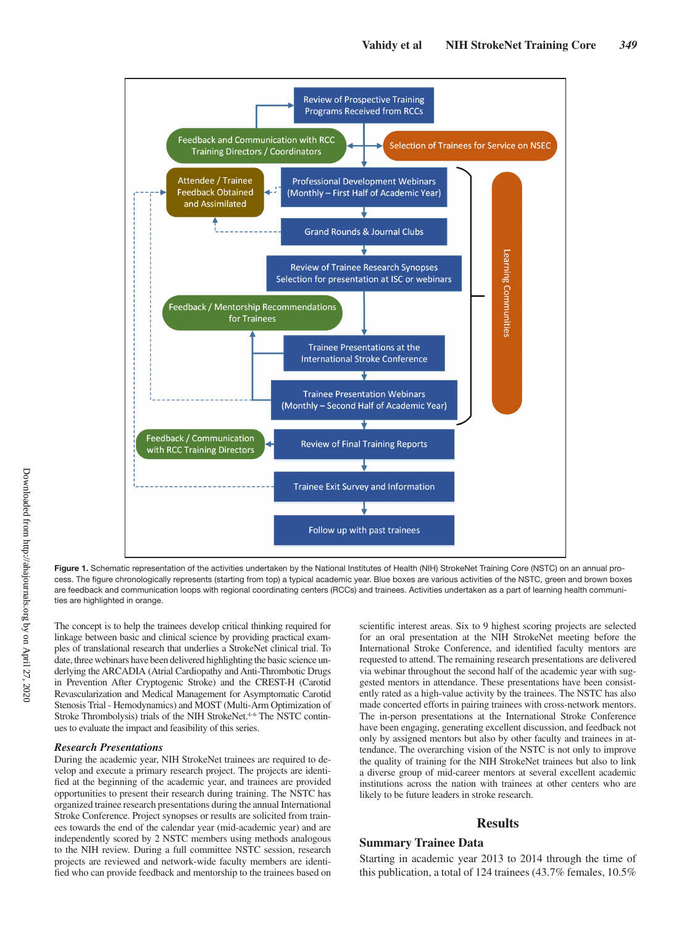

Figure 1. Schematic representation of the activities undertaken by the National Institutes of Health (NIH) StrokeNet Training Core (NSTC) on an annual process. The figure chronologically represents (starting from top) a typical academic year. Blue boxes are various activities of the NSTC, green and brown boxes are feedback and communication loops with regional coordinating centers (RCCs) and trainees. Activities undertaken as a part of learning health communities are highlighted in orange.

The concept is to help the trainees develop critical thinking required for linkage between basic and clinical science by providing practical examples of translational research that underlies a StrokeNet clinical trial. To date, three webinars have been delivered highlighting the basic science underlying the ARCADIA (Atrial Cardiopathy and Anti-Thrombotic Drugs in Prevention After Cryptogenic Stroke) and the CREST-H (Carotid Revascularization and Medical Management for Asymptomatic Carotid Stenosis Trial - Hemodynamics) and MOST (Multi-Arm Optimization of Stroke Thrombolysis) trials of the NIH StrokeNet.<sup>4-6</sup> The NSTC continues to evaluate the impact and feasibility of this series.

#### *Research Presentations*

During the academic year, NIH StrokeNet trainees are required to develop and execute a primary research project. The projects are identified at the beginning of the academic year, and trainees are provided opportunities to present their research during training. The NSTC has organized trainee research presentations during the annual International Stroke Conference. Project synopses or results are solicited from trainees towards the end of the calendar year (mid-academic year) and are independently scored by 2 NSTC members using methods analogous to the NIH review. During a full committee NSTC session, research projects are reviewed and network-wide faculty members are identified who can provide feedback and mentorship to the trainees based on scientific interest areas. Six to 9 highest scoring projects are selected for an oral presentation at the NIH StrokeNet meeting before the International Stroke Conference, and identified faculty mentors are requested to attend. The remaining research presentations are delivered via webinar throughout the second half of the academic year with suggested mentors in attendance. These presentations have been consistently rated as a high-value activity by the trainees. The NSTC has also made concerted efforts in pairing trainees with cross-network mentors. The in-person presentations at the International Stroke Conference have been engaging, generating excellent discussion, and feedback not only by assigned mentors but also by other faculty and trainees in attendance. The overarching vision of the NSTC is not only to improve the quality of training for the NIH StrokeNet trainees but also to link a diverse group of mid-career mentors at several excellent academic institutions across the nation with trainees at other centers who are likely to be future leaders in stroke research.

## **Results**

## **Summary Trainee Data**

Starting in academic year 2013 to 2014 through the time of this publication, a total of 124 trainees (43.7% females, 10.5%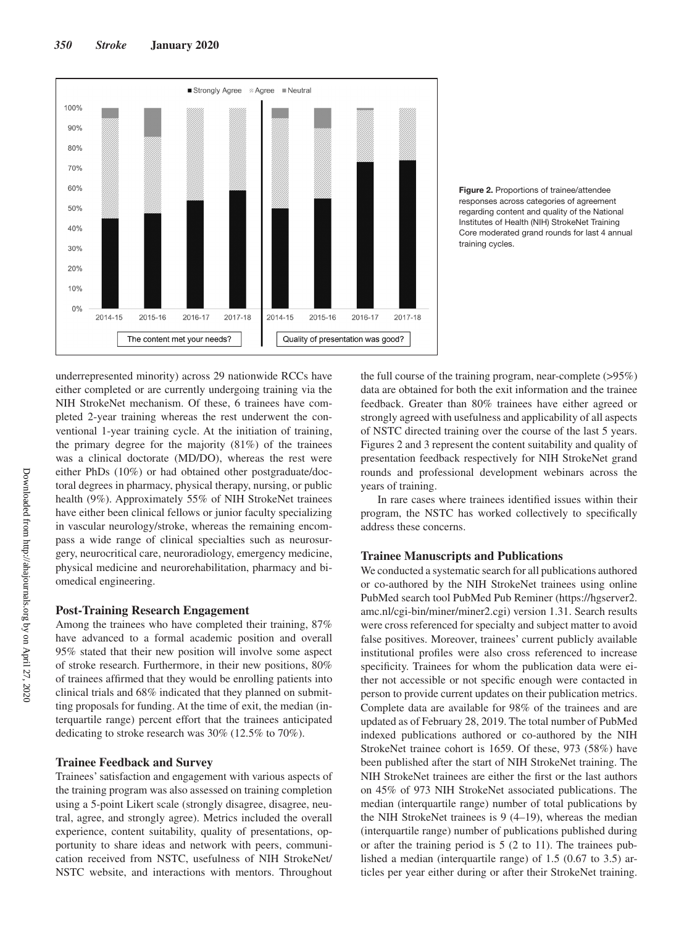

**Figure 2.** Proportions of trainee/attendee responses across categories of agreement regarding content and quality of the National Institutes of Health (NIH) StrokeNet Training Core moderated grand rounds for last 4 annual training cycles.

underrepresented minority) across 29 nationwide RCCs have either completed or are currently undergoing training via the NIH StrokeNet mechanism. Of these, 6 trainees have completed 2-year training whereas the rest underwent the conventional 1-year training cycle. At the initiation of training, the primary degree for the majority (81%) of the trainees was a clinical doctorate (MD/DO), whereas the rest were either PhDs (10%) or had obtained other postgraduate/doctoral degrees in pharmacy, physical therapy, nursing, or public health (9%). Approximately 55% of NIH StrokeNet trainees have either been clinical fellows or junior faculty specializing in vascular neurology/stroke, whereas the remaining encompass a wide range of clinical specialties such as neurosurgery, neurocritical care, neuroradiology, emergency medicine, physical medicine and neurorehabilitation, pharmacy and biomedical engineering.

## **Post-Training Research Engagement**

Among the trainees who have completed their training, 87% have advanced to a formal academic position and overall 95% stated that their new position will involve some aspect of stroke research. Furthermore, in their new positions, 80% of trainees affirmed that they would be enrolling patients into clinical trials and 68% indicated that they planned on submitting proposals for funding. At the time of exit, the median (interquartile range) percent effort that the trainees anticipated dedicating to stroke research was 30% (12.5% to 70%).

## **Trainee Feedback and Survey**

Trainees' satisfaction and engagement with various aspects of the training program was also assessed on training completion using a 5-point Likert scale (strongly disagree, disagree, neutral, agree, and strongly agree). Metrics included the overall experience, content suitability, quality of presentations, opportunity to share ideas and network with peers, communication received from NSTC, usefulness of NIH StrokeNet/ NSTC website, and interactions with mentors. Throughout

the full course of the training program, near-complete  $(>\!\!95\%)$ data are obtained for both the exit information and the trainee feedback. Greater than 80% trainees have either agreed or strongly agreed with usefulness and applicability of all aspects of NSTC directed training over the course of the last 5 years. Figures 2 and 3 represent the content suitability and quality of presentation feedback respectively for NIH StrokeNet grand rounds and professional development webinars across the years of training.

In rare cases where trainees identified issues within their program, the NSTC has worked collectively to specifically address these concerns.

## **Trainee Manuscripts and Publications**

We conducted a systematic search for all publications authored or co-authored by the NIH StrokeNet trainees using online PubMed search tool PubMed Pub Reminer ([https://hgserver2.](https://hgserver2.amc.nl/cgi-bin/miner/miner2.cgi) [amc.nl/cgi-bin/miner/miner2.cgi](https://hgserver2.amc.nl/cgi-bin/miner/miner2.cgi)) version 1.31. Search results were cross referenced for specialty and subject matter to avoid false positives. Moreover, trainees' current publicly available institutional profiles were also cross referenced to increase specificity. Trainees for whom the publication data were either not accessible or not specific enough were contacted in person to provide current updates on their publication metrics. Complete data are available for 98% of the trainees and are updated as of February 28, 2019. The total number of PubMed indexed publications authored or co-authored by the NIH StrokeNet trainee cohort is 1659. Of these, 973 (58%) have been published after the start of NIH StrokeNet training. The NIH StrokeNet trainees are either the first or the last authors on 45% of 973 NIH StrokeNet associated publications. The median (interquartile range) number of total publications by the NIH StrokeNet trainees is 9 (4–19), whereas the median (interquartile range) number of publications published during or after the training period is 5 (2 to 11). The trainees published a median (interquartile range) of 1.5 (0.67 to 3.5) articles per year either during or after their StrokeNet training.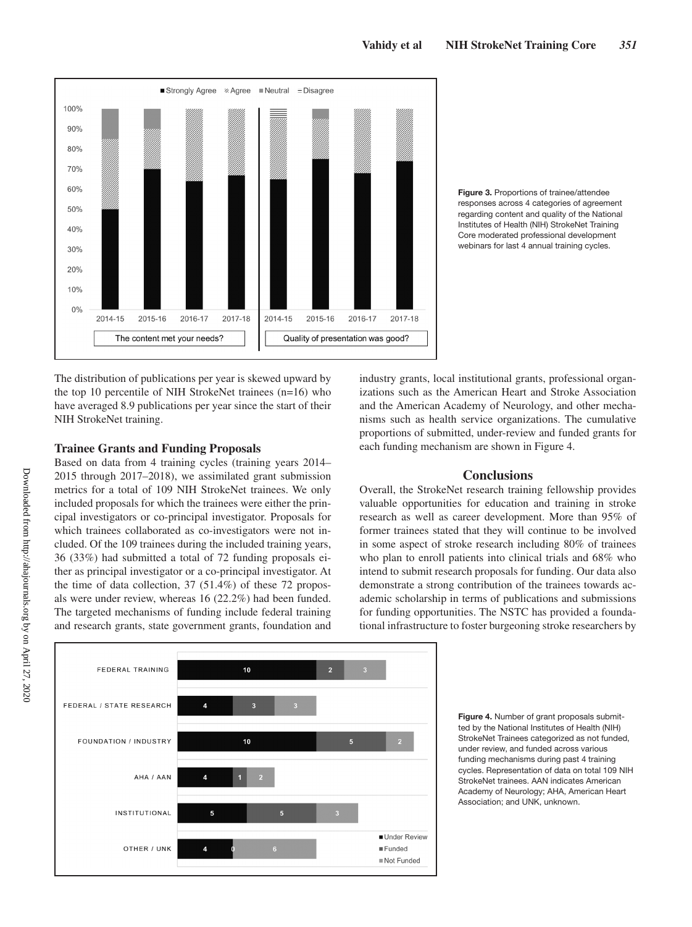

regarding content and quality of the National Institutes of Health (NIH) StrokeNet Training Core moderated professional development webinars for last 4 annual training cycles.

**Figure 3.** Proportions of trainee/attendee responses across 4 categories of agreement

The distribution of publications per year is skewed upward by the top 10 percentile of NIH StrokeNet trainees (n=16) who have averaged 8.9 publications per year since the start of their NIH StrokeNet training.

# **Trainee Grants and Funding Proposals**

Based on data from 4 training cycles (training years 2014– 2015 through 2017–2018), we assimilated grant submission metrics for a total of 109 NIH StrokeNet trainees. We only included proposals for which the trainees were either the principal investigators or co-principal investigator. Proposals for which trainees collaborated as co-investigators were not included. Of the 109 trainees during the included training years, 36 (33%) had submitted a total of 72 funding proposals either as principal investigator or a co-principal investigator. At the time of data collection, 37 (51.4%) of these 72 proposals were under review, whereas 16 (22.2%) had been funded. The targeted mechanisms of funding include federal training and research grants, state government grants, foundation and industry grants, local institutional grants, professional organizations such as the American Heart and Stroke Association and the American Academy of Neurology, and other mechanisms such as health service organizations. The cumulative proportions of submitted, under-review and funded grants for each funding mechanism are shown in Figure 4.

# **Conclusions**

Overall, the StrokeNet research training fellowship provides valuable opportunities for education and training in stroke research as well as career development. More than 95% of former trainees stated that they will continue to be involved in some aspect of stroke research including 80% of trainees who plan to enroll patients into clinical trials and 68% who intend to submit research proposals for funding. Our data also demonstrate a strong contribution of the trainees towards academic scholarship in terms of publications and submissions for funding opportunities. The NSTC has provided a foundational infrastructure to foster burgeoning stroke researchers by